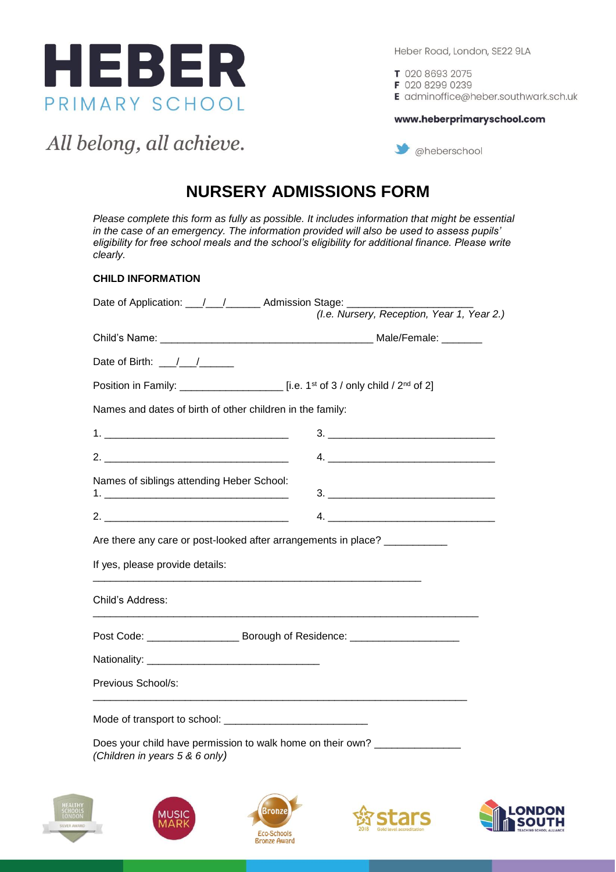

T 020 8693 2075

F 020 8299 0239

E adminoffice@heber.southwark.sch.uk

www.heberprimaryschool.com

All belong, all achieve.

### @heberschool

### **NURSERY ADMISSIONS FORM**

*Please complete this form as fully as possible. It includes information that might be essential in the case of an emergency. The information provided will also be used to assess pupils' eligibility for free school meals and the school's eligibility for additional finance. Please write clearly.*

### **CHILD INFORMATION**

| Date of Application: \[\squad \] \] \] \] \] \] Admission Stage: \[\] \] \] \] \]                            |                                                                                                                                                                                                                                                                                                                        |
|--------------------------------------------------------------------------------------------------------------|------------------------------------------------------------------------------------------------------------------------------------------------------------------------------------------------------------------------------------------------------------------------------------------------------------------------|
|                                                                                                              | (I.e. Nursery, Reception, Year 1, Year 2.)                                                                                                                                                                                                                                                                             |
|                                                                                                              |                                                                                                                                                                                                                                                                                                                        |
| Date of Birth: \[\]                                                                                          |                                                                                                                                                                                                                                                                                                                        |
|                                                                                                              |                                                                                                                                                                                                                                                                                                                        |
| Names and dates of birth of other children in the family:                                                    |                                                                                                                                                                                                                                                                                                                        |
|                                                                                                              | $\begin{array}{c} \n \text{3.} \quad \text{________} \end{array}$                                                                                                                                                                                                                                                      |
| 2.                                                                                                           |                                                                                                                                                                                                                                                                                                                        |
| Names of siblings attending Heber School:                                                                    |                                                                                                                                                                                                                                                                                                                        |
|                                                                                                              | 4. $\frac{1}{2}$ $\frac{1}{2}$ $\frac{1}{2}$ $\frac{1}{2}$ $\frac{1}{2}$ $\frac{1}{2}$ $\frac{1}{2}$ $\frac{1}{2}$ $\frac{1}{2}$ $\frac{1}{2}$ $\frac{1}{2}$ $\frac{1}{2}$ $\frac{1}{2}$ $\frac{1}{2}$ $\frac{1}{2}$ $\frac{1}{2}$ $\frac{1}{2}$ $\frac{1}{2}$ $\frac{1}{2}$ $\frac{1}{2}$ $\frac{1}{2}$ $\frac{1}{2}$ |
| Are there any care or post-looked after arrangements in place? ___________                                   |                                                                                                                                                                                                                                                                                                                        |
| If yes, please provide details:                                                                              |                                                                                                                                                                                                                                                                                                                        |
| Child's Address:                                                                                             |                                                                                                                                                                                                                                                                                                                        |
| Post Code: _______________________ Borough of Residence: _______________________                             |                                                                                                                                                                                                                                                                                                                        |
|                                                                                                              |                                                                                                                                                                                                                                                                                                                        |
| Previous School/s:                                                                                           |                                                                                                                                                                                                                                                                                                                        |
|                                                                                                              |                                                                                                                                                                                                                                                                                                                        |
| Does your child have permission to walk home on their own? _______________<br>(Children in years 5 & 6 only) |                                                                                                                                                                                                                                                                                                                        |









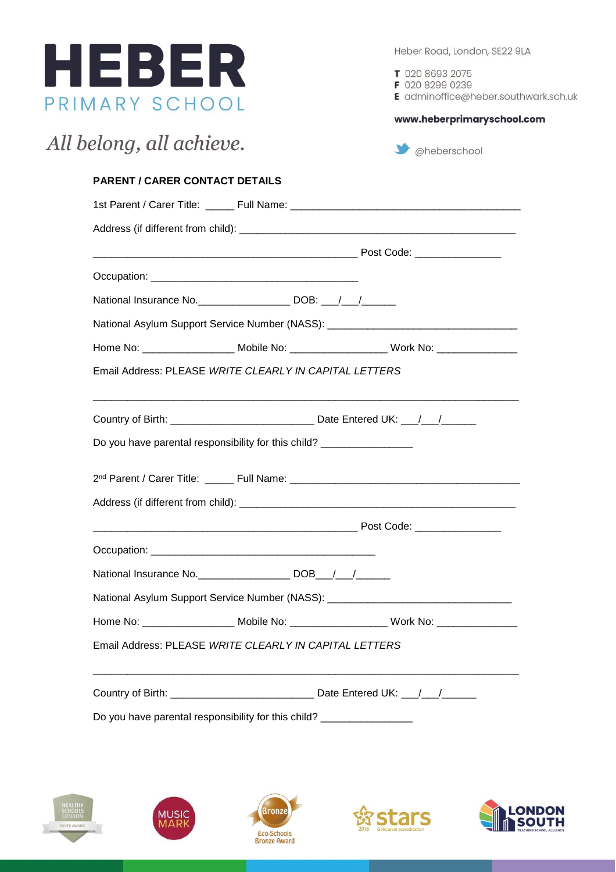

T 020 8693 2075

F 020 8299 0239 E adminoffice@heber.southwark.sch.uk

www.heberprimaryschool.com

| <b>PARENT / CARER CONTACT DETAILS</b> |                                                                                         |  |
|---------------------------------------|-----------------------------------------------------------------------------------------|--|
|                                       |                                                                                         |  |
|                                       |                                                                                         |  |
|                                       |                                                                                         |  |
|                                       |                                                                                         |  |
|                                       | National Insurance No. ____________________ DOB: ___/___/______                         |  |
|                                       | National Asylum Support Service Number (NASS): _________________________________        |  |
|                                       | Home No: ____________________ Mobile No: ____________________ Work No: _______________  |  |
|                                       | Email Address: PLEASE WRITE CLEARLY IN CAPITAL LETTERS                                  |  |
|                                       |                                                                                         |  |
|                                       |                                                                                         |  |
|                                       | Do you have parental responsibility for this child? __________________                  |  |
|                                       |                                                                                         |  |
|                                       |                                                                                         |  |
|                                       |                                                                                         |  |
|                                       |                                                                                         |  |
|                                       |                                                                                         |  |
|                                       | National Asylum Support Service Number (NASS): _________________________________        |  |
|                                       | Home No: ____________________ Mobile No: ____________________ Work No: ________________ |  |
|                                       | Email Address: PLEASE WRITE CLEARLY IN CAPITAL LETTERS                                  |  |









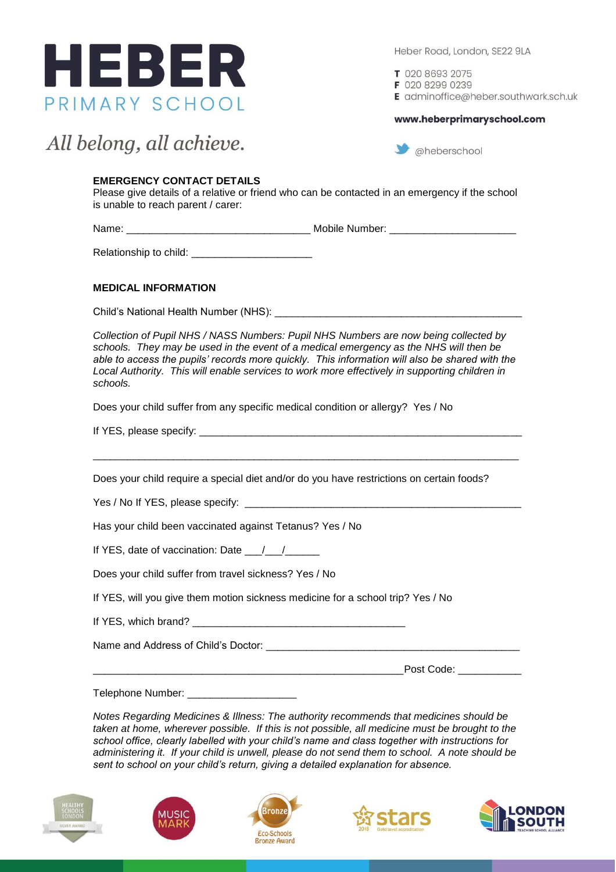

T 020 8693 2075

F 020 8299 0239

E adminoffice@heber.southwark.sch.uk

#### www.heberprimaryschool.com

## All belong, all achieve.

 $\rightarrow$  @heberschool

### **EMERGENCY CONTACT DETAILS**

Please give details of a relative or friend who can be contacted in an emergency if the school is unable to reach parent / carer:

Name: \_\_\_\_\_\_\_\_\_\_\_\_\_\_\_\_\_\_\_\_\_\_\_\_\_\_\_\_\_\_\_\_ Mobile Number: \_\_\_\_\_\_\_\_\_\_\_\_\_\_\_\_\_\_\_\_\_\_

Relationship to child: \_\_\_\_\_\_\_\_\_\_\_\_\_\_\_\_\_\_\_\_\_

### **MEDICAL INFORMATION**

Child's National Health Number (NHS): \_\_\_\_\_\_\_\_\_\_\_\_\_\_\_\_\_\_\_\_\_\_\_\_\_\_\_\_\_\_\_\_\_\_\_\_\_\_\_\_\_\_\_

*Collection of Pupil NHS / NASS Numbers: Pupil NHS Numbers are now being collected by schools. They may be used in the event of a medical emergency as the NHS will then be able to access the pupils' records more quickly. This information will also be shared with the Local Authority. This will enable services to work more effectively in supporting children in schools.*

Does your child suffer from any specific medical condition or allergy? Yes / No

If YES, please specify: \_\_\_\_\_\_\_\_\_\_\_\_\_\_\_\_\_\_\_\_\_\_\_\_\_\_\_\_\_\_\_\_\_\_\_\_\_\_\_\_\_\_\_\_\_\_\_\_\_\_\_\_\_\_\_\_

Does your child require a special diet and/or do you have restrictions on certain foods?

\_\_\_\_\_\_\_\_\_\_\_\_\_\_\_\_\_\_\_\_\_\_\_\_\_\_\_\_\_\_\_\_\_\_\_\_\_\_\_\_\_\_\_\_\_\_\_\_\_\_\_\_\_\_\_\_\_\_\_\_\_\_\_\_\_\_\_\_\_\_\_\_\_\_

Yes / No If YES, please specify: \_

Has your child been vaccinated against Tetanus? Yes / No

If YES, date of vaccination: Date  $\frac{1}{2}$ 

Does your child suffer from travel sickness? Yes / No

If YES, will you give them motion sickness medicine for a school trip? Yes / No

If YES, which brand?

Name and Address of Child's Doctor: \_\_\_\_\_\_\_\_\_\_\_\_\_\_\_\_\_\_\_\_\_\_\_\_\_\_\_\_\_\_\_\_\_\_\_\_\_\_\_\_\_\_\_\_

 $\Box$  Post Code:

Telephone Number: \_\_\_\_\_\_\_\_\_\_\_\_\_\_\_\_\_\_\_

*Notes Regarding Medicines & Illness: The authority recommends that medicines should be taken at home, wherever possible. If this is not possible, all medicine must be brought to the school office, clearly labelled with your child's name and class together with instructions for administering it. If your child is unwell, please do not send them to school. A note should be sent to school on your child's return, giving a detailed explanation for absence.*









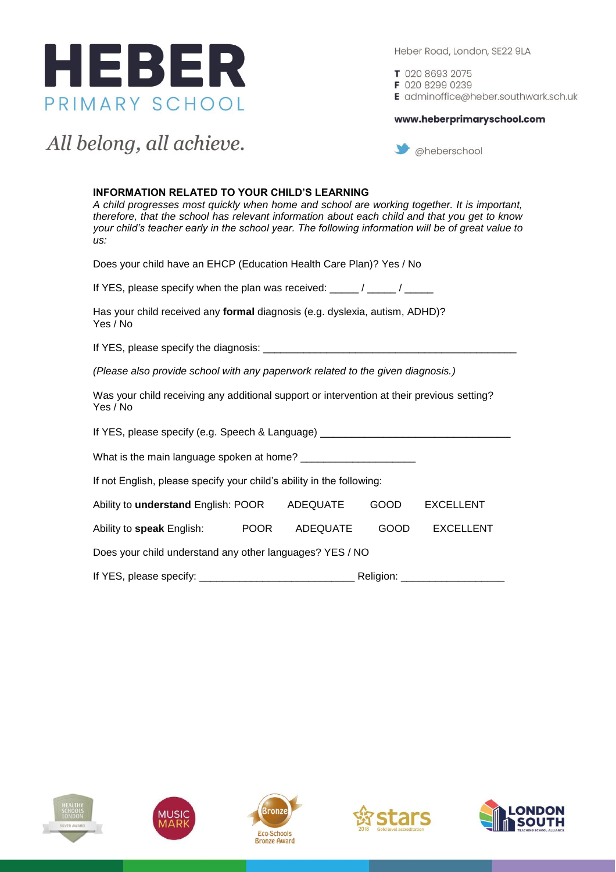

T 020 8693 2075 F 020 8299 0239

E adminoffice@heber.southwark.sch.uk

#### www.heberprimaryschool.com

### All belong, all achieve.

aheberschool

### **INFORMATION RELATED TO YOUR CHILD'S LEARNING**

*A child progresses most quickly when home and school are working together. It is important, therefore, that the school has relevant information about each child and that you get to know your child's teacher early in the school year. The following information will be of great value to us:* 

Does your child have an EHCP (Education Health Care Plan)? Yes / No

If YES, please specify when the plan was received: \_\_\_\_\_/ \_\_\_\_\_/ \_\_\_\_\_

Has your child received any **formal** diagnosis (e.g. dyslexia, autism, ADHD)? Yes / No

If YES, please specify the diagnosis:  $\_\_$ 

*(Please also provide school with any paperwork related to the given diagnosis.)*

Was your child receiving any additional support or intervention at their previous setting? Yes / No

| If YES, please specify (e.g. Speech & Language) |  |
|-------------------------------------------------|--|
| What is the main language spoken at home?       |  |

If not English, please specify your child's ability in the following:

| Ability to <b>understand</b> English: POOR               |             | ADEQUATE | <b>GOOD</b> | <b>EXCELLENT</b> |
|----------------------------------------------------------|-------------|----------|-------------|------------------|
| Ability to <b>speak</b> English:                         | <b>POOR</b> | ADEQUATE | GOOD        | <b>EXCELLENT</b> |
| Does your child understand any other languages? YES / NO |             |          |             |                  |
| Religion:                                                |             |          |             |                  |









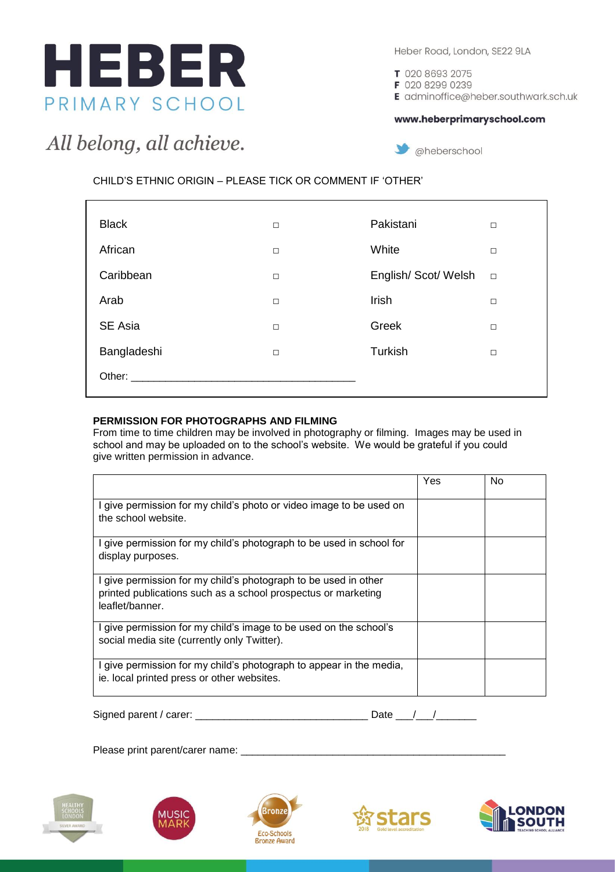

T 020 8693 2075

@heberschool

F 020 8299 0239

E adminoffice@heber.southwark.sch.uk

### www.heberprimaryschool.com

## All belong, all achieve.

CHILD'S ETHNIC ORIGIN – PLEASE TICK OR COMMENT IF 'OTHER'

| <b>Black</b>                                                                                                                                                                                                                   | $\Box$ | Pakistani          | $\Box$ |
|--------------------------------------------------------------------------------------------------------------------------------------------------------------------------------------------------------------------------------|--------|--------------------|--------|
| African                                                                                                                                                                                                                        | $\Box$ | White              | $\Box$ |
| Caribbean                                                                                                                                                                                                                      | $\Box$ | English/Scot/Welsh | $\Box$ |
| Arab                                                                                                                                                                                                                           | $\Box$ | Irish              | $\Box$ |
| SE Asia                                                                                                                                                                                                                        | $\Box$ | Greek              | $\Box$ |
| Bangladeshi                                                                                                                                                                                                                    | $\Box$ | Turkish            | П      |
| Other: and the state of the state of the state of the state of the state of the state of the state of the state of the state of the state of the state of the state of the state of the state of the state of the state of the |        |                    |        |
|                                                                                                                                                                                                                                |        |                    |        |

### **PERMISSION FOR PHOTOGRAPHS AND FILMING**

From time to time children may be involved in photography or filming. Images may be used in school and may be uploaded on to the school's website. We would be grateful if you could give written permission in advance.

|                                                                                                                                                     | Yes | No |
|-----------------------------------------------------------------------------------------------------------------------------------------------------|-----|----|
| I give permission for my child's photo or video image to be used on<br>the school website.                                                          |     |    |
| I give permission for my child's photograph to be used in school for<br>display purposes.                                                           |     |    |
| I give permission for my child's photograph to be used in other<br>printed publications such as a school prospectus or marketing<br>leaflet/banner. |     |    |
| I give permission for my child's image to be used on the school's<br>social media site (currently only Twitter).                                    |     |    |
| I give permission for my child's photograph to appear in the media,<br>ie. local printed press or other websites.                                   |     |    |

| Signed parent / carer: |  |  |
|------------------------|--|--|
|                        |  |  |

Please print parent/carer name: \_\_\_\_\_\_\_\_\_\_\_\_\_\_\_\_\_\_\_\_\_\_\_\_\_\_\_\_\_\_\_\_\_\_\_\_\_\_\_\_\_\_\_\_\_\_









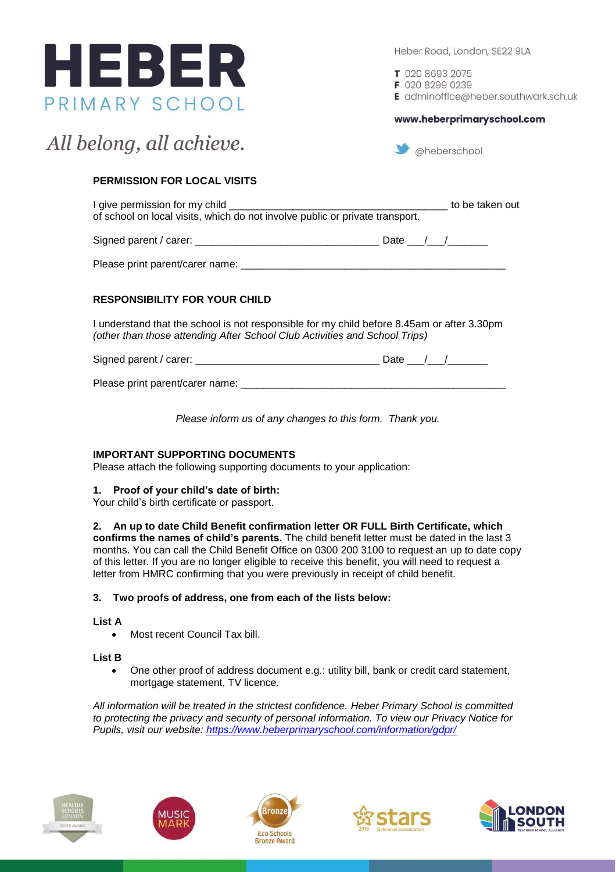

T 020 8693 2075

F 020 8299 0239

E adminoffice@heber.southwark.sch.uk

www.heberprimaryschool.com

# All belong, all achieve.

 $\bullet$  @heberschool

### **PERMISSION FOR LOCAL VISITS**

I give permission for my child \_\_\_\_\_\_\_\_\_\_\_\_\_\_\_\_\_\_\_\_\_\_\_\_\_\_\_\_\_\_\_\_\_\_\_\_\_\_ to be taken out of school on local visits, which do not involve public or private transport.

Signed parent / carer: \_\_\_\_\_\_\_\_\_\_\_\_\_\_\_\_\_\_\_\_\_\_\_\_\_\_\_\_\_\_\_\_ Date \_\_\_/\_\_\_/\_\_\_\_\_\_\_

Please print parent/carer name: \_\_\_\_\_\_\_\_\_\_\_\_\_\_\_\_\_\_\_\_\_\_\_\_\_\_\_\_\_\_\_\_\_\_\_\_\_\_\_\_\_\_\_\_\_\_

### **RESPONSIBILITY FOR YOUR CHILD**

I understand that the school is not responsible for my child before 8.45am or after 3.30pm *(other than those attending After School Club Activities and School Trips)*

| Signed parent / carer: |  |
|------------------------|--|
|------------------------|--|

Please print parent/carer name:

*Please inform us of any changes to this form. Thank you.*

### **IMPORTANT SUPPORTING DOCUMENTS**

Please attach the following supporting documents to your application:

### **1. Proof of your child's date of birth:**

Your child's birth certificate or passport.

### **2. An up to date Child Benefit confirmation letter OR FULL Birth Certificate, which**

**confirms the names of child's parents.** The child benefit letter must be dated in the last 3 months. You can call the Child Benefit Office on 0300 200 3100 to request an up to date copy of this letter. If you are no longer eligible to receive this benefit, you will need to request a letter from HMRC confirming that you were previously in receipt of child benefit.

### **3. Two proofs of address, one from each of the lists below:**

### **List A**

Most recent Council Tax bill.

### **List B**

 One other proof of address document e.g.: utility bill, bank or credit card statement, mortgage statement, TV licence.

*All information will be treated in the strictest confidence. Heber Primary School is committed to protecting the privacy and security of personal information. To view our Privacy Notice for Pupils, visit our website:<https://www.heberprimaryschool.com/information/gdpr/>*